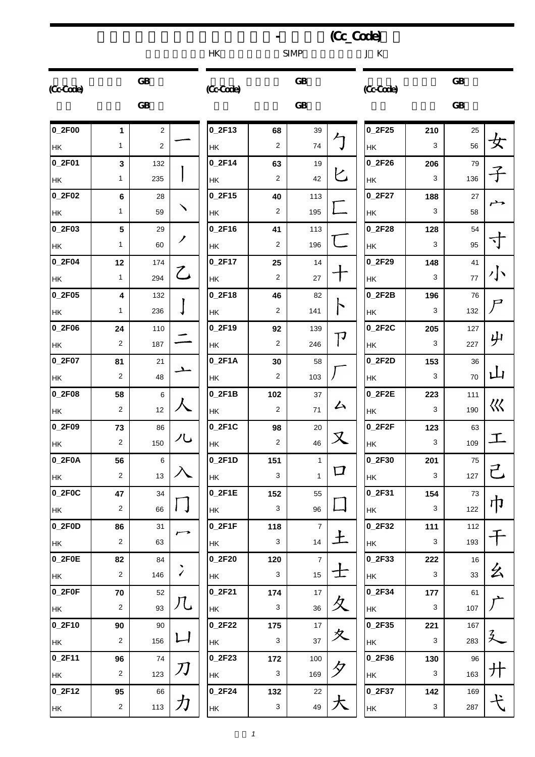|           |                |                         |                |               |                           |                | (Cc_Code)                           |                     |                           |           |                    |
|-----------|----------------|-------------------------|----------------|---------------|---------------------------|----------------|-------------------------------------|---------------------|---------------------------|-----------|--------------------|
|           |                |                         |                | <b>HK</b>     |                           | <b>SIMP</b>    |                                     | J K                 |                           |           |                    |
| (Cc-Cade) |                | ${\bf GB}$              |                | (Cc-Code)     |                           | GB             |                                     | (CcCode)            |                           | <b>GB</b> |                    |
|           |                | GB                      |                |               |                           | <b>GB</b>      |                                     |                     |                           | GB        |                    |
| 0_2F00    | 1              | $\overline{\mathbf{c}}$ |                | $0_2F13$      | 68                        | 39             |                                     | 0_2F25              | 210                       | 25        |                    |
| HK        | $\mathbf{1}$   | $\sqrt{2}$              |                | HK            | 2                         | 74             | 勹                                   | HK                  | 3                         | 56        | 女                  |
| 0_2F01    | 3              | 132                     |                | $0_2$ F14     | 63                        | 19             |                                     | 0_2F26              | 206                       | 79        |                    |
| HK        | 1              | 235                     |                | HK            | $\overline{2}$            | 42             | ヒ                                   | HK                  | 3                         | 136       |                    |
| 0_2F02    | 6              | 28                      |                | $0_2F15$      | 40                        | 113            |                                     | 0_2F27              | 188                       | 27        | حمر                |
| HK        | $\mathbf{1}$   | 59                      | ╲              | НK            | 2                         | 195            |                                     | HK                  | 3                         | 58        |                    |
| 0_2F03    | $5\phantom{1}$ | 29                      |                | $0_2F16$      | 41                        | 113            |                                     | $0_2F28$            | 128                       | 54        |                    |
| HK        | 1              | 60                      | ╱              | HK            | 2                         | 196            |                                     | HK                  | 3                         | 95        | ◝┃                 |
| 0_2F04    | 12             | 174                     |                | $0_2F17$      | 25                        | 14             |                                     | 0_2F29              | 148                       | 41        |                    |
| HK        | $\mathbf{1}$   | 294                     | ${\mathcal L}$ | HK            | $\overline{c}$            | 27             |                                     | HK                  | 3                         | $77\,$    | 小                  |
| 0_2F05    | 4              | 132                     |                | $0_2$ F18     | 46                        | 82             |                                     | 0_2F2B              | 196                       | 76        |                    |
| HK        | 1              | 236                     |                | HK            | 2                         | 141            | ト                                   | HK                  | 3                         | 132       | $\bm{\mathcal{P}}$ |
| 0_2F06    | 24             | 110                     |                | $0_2$ F19     | 92                        | 139            |                                     | 0_2F2C              | 205                       | 127       |                    |
| HK        | 2              | 187                     |                | HK            | $\overline{2}$            | 246            | $\mathsf{T}^{\mathcal{\texttt{J}}}$ | HK                  | 3                         | 227       | 屮                  |
| 0_2F07    | 81             | 21                      |                | $0_2$ F1A     | 30                        | 58             |                                     | 0_2F2D              | 153                       | 36        |                    |
| HK        | 2              | 48                      | ᅩ              | HK            | 2                         | 103            |                                     | $\mathsf{HK}$       | 3                         | $70\,$    | 山                  |
| 0_2F08    | 58             | 6                       |                | $0_2$ F1B     | 102                       | 37             |                                     | 0_2F2E              | 223                       | 111       |                    |
| HK        | $\overline{c}$ | 12                      | 人              | HK            | $\overline{2}$            | 71             | 厶                                   | $\mathsf{HK}$       | 3                         | 190       | 巛                  |
| 0_2F09    | 73             | 86                      |                | $0_2$ F1C     | 98                        | 20             |                                     | $0$ <sub>2F2F</sub> | 123                       | 63        |                    |
| HK        | $\overline{2}$ | 150                     | ハし             | HK            | $\sqrt{2}$                | 46             | $\boldsymbol{\mathsf{X}}$           | HK                  | 3                         | 109       | 工                  |
| 0_2F0A    | 56             | $\,6\,$                 |                | $0_2$ F1D     | 151                       | $\mathbf{1}$   |                                     | 0_2F30              | 201                       | 75        |                    |
| <b>HK</b> | $\overline{c}$ | 13                      |                | HK            | 3                         | $\mathbf{1}$   | $\bm{\mathsf \Pi}$                  | <b>HK</b>           | 3                         | 127       | 己                  |
| $0$ _2F0C | 47             | 34                      |                | $0_2$ F1E     | 152                       | 55             |                                     | 0_2F31              | 154                       | 73        |                    |
| <b>HK</b> | $\overline{2}$ | 66                      |                | HK            | $\ensuremath{\mathsf{3}}$ | 96             |                                     | <b>HK</b>           | $\sqrt{3}$                | 122       | 巾                  |
| 0_2F0D    | 86             | 31                      | $\rightarrow$  | $0_2$ F1F     | 118                       | $\overline{7}$ |                                     | 0_2F32              | 111                       | 112       |                    |
| <b>HK</b> | $\sqrt{2}$     | 63                      |                | HK            | $\ensuremath{\mathsf{3}}$ | 14             | 上                                   | HK                  | 3                         | 193       |                    |
| 0_2F0E    | 82             | 84                      |                | $0_2$ F20     | 120                       | $\overline{7}$ |                                     | 0_2F33              | 222                       | 16        |                    |
| HK        | $\sqrt{2}$     | 146                     | $\checkmark$   | HK            | $\ensuremath{\mathsf{3}}$ | 15             | エ                                   | HK                  | 3                         | 33        | 幺                  |
| $0_2$ FOF | 70             | 52                      |                | $0_2F21$      | 174                       | 17             |                                     | 0_2F34              | 177                       | 61        |                    |
| HK        | $\sqrt{2}$     | 93                      | 几              | HK            | $\ensuremath{\mathsf{3}}$ | 36             | 夂                                   | HK                  | 3                         | 107       |                    |
| 0_2F10    | 90             | 90                      |                | $0_2$ F22     | 175                       | 17             |                                     | 0_2F35              | 221                       | 167       |                    |
| HK        | $\overline{c}$ | 156                     | 凵              | HK            | 3                         | 37             | 夊                                   | HK                  | 3                         | 283       |                    |
| 0_2F11    | 96             | 74                      |                | $0_2F23$      | 172                       | 100            |                                     | 0_2F36              | 130                       | 96        |                    |
| HK        | $\overline{c}$ | 123                     | 刀              | HK            | $\ensuremath{\mathsf{3}}$ | 169            | タ                                   | <b>HK</b>           | 3                         | 163       | 廾                  |
| 0_2F12    | 95             | 66                      |                | $0_2$ F24     | 132                       | 22             |                                     | 0_2F37              | 142                       | 169       |                    |
| <b>HK</b> | $\overline{2}$ | 113                     | 力              | $\mathsf{HK}$ | $\ensuremath{\mathsf{3}}$ | 49             |                                     | HK                  | $\ensuremath{\mathsf{3}}$ | 287       | ど                  |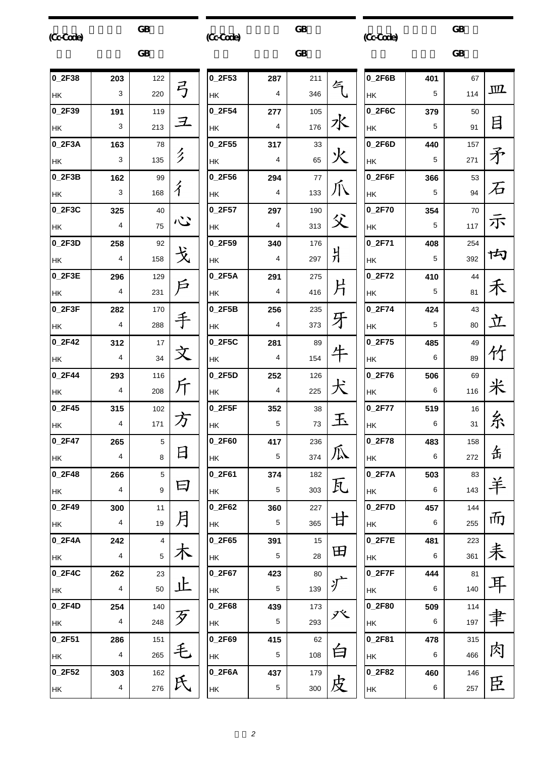# $\overline{\textsf{GB}}$  and  $\overline{\textsf{GB}}$ (Cc-Code)

 $\overline{\text{GB}}$ 

(Cc-Code)

 $GB$ 

 $\overline{\text{GB}}$ (Cc-Code)

|           |                | <b>GB</b> |                      |                         |
|-----------|----------------|-----------|----------------------|-------------------------|
| $0_2F38$  | 203            | 122       |                      | $\mathbf 0$             |
| НK        | 3              | 220       | 弓                    | H                       |
| $0$ 2F39  | 191            | 119       |                      | 0                       |
| HK        | 3              | 213       | $\mathcal{I}_-$      | H                       |
| 0.2F3A    | 163            | 78        |                      | 0                       |
| HK        | 3              | 135       | ク                    | $\vdash$                |
| $0$ 2F3B  | 162            | 99        |                      | 0                       |
| HK        | 3              | 168       | $\overline{\hat{A}}$ | H                       |
| $0$ 2F3C  | 325            | 40        |                      | O                       |
| HK        | $\overline{4}$ | 75        | ふ                    | H                       |
| $0$ 2F3D  | 258            | 92        |                      | O                       |
| HK        | 4              | 158       | 戈                    | H                       |
| 0_2F3E    | 296            | 129       |                      | O                       |
| HK        | 4              | 231       |                      | $\vdash$                |
| 0.2F3F    | 282            | 170       |                      | O                       |
| HK        | 4              | 288       |                      | H                       |
| $0$ 2F42  | 312            | 17        |                      | 0                       |
| НK        | 4              | 34        |                      | H                       |
| $0$ 2F44  | 293            | 116       |                      | 0                       |
| HK        | $\overline{4}$ | 208       |                      | H                       |
| $0$ 2F45  | 315            | 102       |                      | 0                       |
| <b>HK</b> | 4              | 171       |                      | $\vdash$                |
| $0_2F47$  | 265            | 5         | 日                    | $\overline{\mathbf{0}}$ |
| HK        | 4              | 8         |                      | $\vdash$                |
| $0$ 2F48  | 266            | 5         | 曰                    | 0                       |
| HK        | 4              | 9         |                      | H                       |
| $0$ 2F49  | 300            | 11        |                      | O                       |
| HK        | 4              | 19        | 月                    | H                       |
| $0_2$ F4A | 242            | 4         |                      | 0                       |
| HK        | 4              | 5         |                      | H                       |
| $0_2F4C$  | 262            | 23        |                      | O                       |
| HK        | 4              | 50        |                      | H                       |
| $0_2$ F4D | 254            | 140       |                      | 0                       |
| HK        | 4              | 248       |                      | H                       |
| $0_2F51$  | 286            | 151       |                      | O                       |
| HK        | 4              | 265       |                      | H                       |
| $0_2F52$  | 303            | 162       |                      | O                       |
| HK        | 4              | 276       |                      | $\vdash$                |

| 0_2F53              | 287            | 211 |         |
|---------------------|----------------|-----|---------|
| HK                  | $\overline{4}$ | 346 |         |
| $0$ <sub>2F54</sub> | 277            | 105 |         |
| HK                  | 4              | 176 | 水       |
| 0_2F55              | 317            | 33  |         |
| <b>HK</b>           | 4              | 65  |         |
| 0_2F56              | 294            | 77  |         |
| <b>HK</b>           | 4              | 133 |         |
| 0_2F57              | 297            | 190 | 父       |
| HK                  | 4              | 313 |         |
| 0_2F59              | 340            | 176 |         |
| HK                  | 4              | 297 | 爿       |
| $0_2F5A$            | 291            | 275 |         |
| <b>HK</b>           | 4              | 416 | 片       |
| $0_2$ F5B           | 256            | 235 |         |
| HK                  | 4              | 373 | 牙       |
| $0_2$ F5C           | 281            | 89  |         |
| HK                  | 4              | 154 |         |
| 0_2F5D              | 252            | 126 |         |
| HK                  | 4              | 225 | $\zeta$ |
| 0 2F5F              | 352            | 38  |         |
| HK                  | 5              | 73  | 玉       |
| $0_2$ F60           | 417            | 236 |         |
| HK                  | 5              | 374 | 瓜       |
| $0_2F61$            | 374            | 182 |         |
| <b>HK</b>           | 5              | 303 | 瓦       |
| $0_2F62$            | 360            | 227 |         |
| HK                  | 5              | 365 | 甘       |
| 0_2F65              | 391            | 15  |         |
| HK                  | 5              | 28  | 田       |
| $0_2$ F67           | 423            | 80  |         |
| <b>HK</b>           | 5              | 139 |         |
| $0_2$ F68           | 439            | 173 |         |
| <b>HK</b>           | 5              | 293 |         |
| 0 2F69              | 415            | 62  |         |
| <b>HK</b>           | 5              | 108 | 白       |
| $0_2F6A$            | 437            | 179 | 皮       |
| HK                  | 5              | 300 |         |

| $0_2F6B$            | 401 | 67  |               |
|---------------------|-----|-----|---------------|
| НK                  | 5   | 114 | $\mathbf{m}$  |
| 0 2F6C              | 379 | 50  |               |
| HΚ                  | 5   | 91  | 目             |
| $0_2F6D$            | 440 | 157 |               |
| HΚ                  | 5   | 271 | 矛             |
| $0_2F6F$            | 366 | 53  |               |
| HΚ                  | 5   | 94  | 石             |
| $0_2$ F70           | 354 | 70  |               |
| HΚ                  | 5   | 117 | 示             |
| 0 2F71              | 408 | 254 |               |
| HΚ                  | 5   | 392 | 内             |
| 0 2F72              | 410 | 44  |               |
| HΚ                  | 5   | 81  | 禾             |
| 0 2F74              | 424 | 43  |               |
| HΚ                  | 5   | 80  | 立             |
| $0_2$ F75           | 485 | 49  |               |
| HΚ                  | 6   | 89  | 竹             |
| $0_2$ F76           | 506 | 69  |               |
| HΚ                  | 6   | 116 | $\frac{*}{ }$ |
| $0_2$ F77           | 519 | 16  |               |
| HΚ                  | 6   | 31  | 糸             |
| 0 2F78              | 483 | 158 |               |
| HК                  | 6   | 272 | 缶             |
| $0_2$ F7A           | 503 | 83  |               |
| НK                  | 6   | 143 | 羊             |
| $0$ <sub>2F7D</sub> | 457 | 144 |               |
| HΚ                  | 6   | 255 | 而             |
| 0 2F7E              | 481 | 223 |               |
| HΚ                  | 6   | 361 | 耒             |
| $0$ <sub>2F7F</sub> | 444 | 81  |               |
| НK                  | 6   | 140 |               |
| 0 2F80              | 509 | 114 |               |
| HΚ                  | 6   | 197 | 聿             |
| 0_2F81              | 478 | 315 |               |
| HΚ                  | 6   | 466 | 肉             |
| $0_2F82$            | 460 | 146 |               |
| HΚ                  | 6   | 257 | 臣             |
|                     |     |     |               |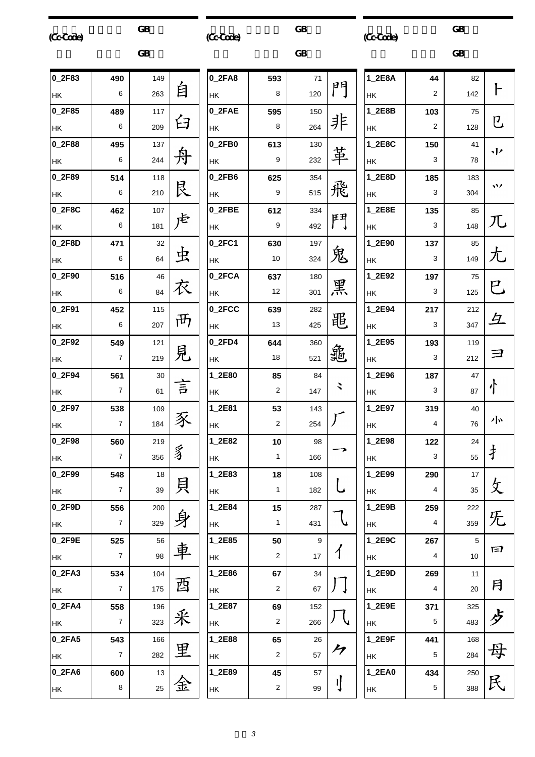|           | <b>GB</b> |
|-----------|-----------|
| (Cc-Code) |           |

 $\overline{\text{GB}}$ 

(Cc-Code)

 $GB$ 

 $\overline{\text{GB}}$ (Cc-Code)

|           |                  | <b>GB</b> |       |        |
|-----------|------------------|-----------|-------|--------|
| $0$ 2F83  | 490              | 149       |       | $0_2F$ |
| HK        | 6                | 263       | 自     | НK     |
| 0_2F85    | 489              | 117       |       | $0_2F$ |
| HK        | 6                | 209       | 臼     | HK     |
| 0_2F88    | 495              | 137       |       | $0_2F$ |
| HK        | 6                | 244       | 舟     | ΗK     |
| 0_2F89    | 514              | 118       |       | $0_2F$ |
| HK        | 6                | 210       | 艮     | HΚ     |
| 0_2F8C    | 462              | 107       |       | $0_2F$ |
| HK        | 6                | 181       |       | HK     |
| 0_2F8D    | 471              | 32        | 虫     | $0_2F$ |
| НK        | 6                | 64        |       | HK     |
| $0_2F90$  | 516              | 46        | 衣     | $0_2F$ |
| HK        | 6                | 84        |       | НK     |
| 0_2F91    | 452              | 115       | ਜ਼ਿੰਸ | $0_2F$ |
| HΚ        | 6                | 207       |       | ΗK     |
| $0_2F92$  | 549              | 121       | 見     | $0_2F$ |
| HΚ        | $\overline{7}$   | 219       |       | ΗK     |
| 0_2F94    | 561              | 30        | 言     | $1_2E$ |
| HK        | $\overline{7}$   | 61        |       | HK     |
| 0_2F97    | 538              | 109       |       | $1_2E$ |
| НK        | 7                | 184       |       | HK     |
| $0_2$ F98 | 560              | 219       | ⇙     | $1_2E$ |
| НK        | 7                | 356       | 匀     | НK     |
| $0$ 2F99  | 548              | 18        | 貝     | $1_2E$ |
| <b>HK</b> | $\overline{7}$   | 39        |       | ΗK     |
| 0_2F9D    | 556              | 200       |       | $1_2E$ |
| НK        | 7                | 329       | 身     | HK     |
| $0_2$ F9E | 525              | 56        | 車     | $1_2E$ |
| НK        | $\overline{7}$   | 98        |       | НK     |
| $0_2FA3$  | 534              | 104       | 酉     | $1_2E$ |
| НK        | 7                | 175       |       | HK     |
| $0_2FA4$  | 558              | 196       | 釆     | $1_2E$ |
| HK        | $\boldsymbol{7}$ | 323       |       | HK     |
| $0_2FA5$  | 543              | 166       | 里     | $1_2E$ |
| HK        | $\overline{7}$   | 282       |       | HK     |
| $0_2FA6$  | 600              | 13        | 金     | $1_2E$ |
| НK        | 8                | 25        |       | НK     |

| $0_2FA8$       | 593                     | 71  |                            |
|----------------|-------------------------|-----|----------------------------|
| HK             | 8                       | 120 | 門                          |
| 0_2FAE         | 595                     | 150 |                            |
| HK             | 8                       | 264 | 非                          |
| $0_2$ FB $0_2$ | 613                     | 130 |                            |
| HK             | 9                       | 232 | 革                          |
| $0_2$ FB6      | 625                     | 354 |                            |
| HK             | 9                       | 515 | 飛                          |
| 0_2FBE         | 612                     | 334 |                            |
| HK             | 9                       | 492 | 鬥                          |
| 0_2FC1         | 630                     | 197 |                            |
| НK             | 10                      | 324 | 鬼                          |
| 0_2FCA         | 637                     | 180 |                            |
| НK             | 12                      | 301 | 黑                          |
| 0_2FCC         | 639                     | 282 |                            |
| НK             | 13                      | 425 | 黽                          |
| 0_2FD4         | 644                     | 360 |                            |
| HΚ             | 18                      | 521 | 龜                          |
| 1_2E80         | 85                      | 84  |                            |
| НK             | $\overline{c}$          | 147 | $\checkmark$               |
| 1_2E81         | 53                      | 143 |                            |
| HK             | $\overline{2}$          | 254 |                            |
| 1_2E82         | 10                      | 98  |                            |
| НK             | 1                       | 166 |                            |
| 1_2E83         | 18                      | 108 |                            |
| <b>HK</b>      | 1                       | 182 | L                          |
| 1_2E84         | 15                      | 287 |                            |
| <b>HK</b>      | 1                       | 431 | $\mathcal{J}$              |
| 1_2E85         | 50                      | 9   |                            |
| HK             | 2                       | 17  |                            |
| 1_2E86         | 67                      | 34  |                            |
| HK             | 2                       | 67  |                            |
| 1_2E87         | 69                      | 152 |                            |
| HK             | $\overline{\mathbf{c}}$ | 266 |                            |
| 1_2E88         | 65                      | 26  |                            |
| HK             | $\overline{\mathbf{c}}$ | 57  | $\boldsymbol{\mathcal{F}}$ |
| 1_2E89         | 45                      | 57  |                            |
| HK             | 2                       | 99  | ΙJ                         |

| 1_2E8A | 44                      | 82   |                         |  |
|--------|-------------------------|------|-------------------------|--|
| HΚ     | $\overline{\mathbf{c}}$ | 142  | ┣                       |  |
| 1_2E8B | 103                     | 75   |                         |  |
| HΚ     | 2                       | 128  | <b>U</b>                |  |
| 1_2E8C | 150                     | 41   | 小                       |  |
| НK     | 3                       | 78   |                         |  |
| 1_2E8D | 185                     | 183  | $\ddot{\phantom{1}}$    |  |
| НK     | 3                       | 304  |                         |  |
| 1_2E8E | 135                     | 85   |                         |  |
| НK     | 3                       | 148  | 兀                       |  |
| 1_2E90 | 137                     | 85   |                         |  |
| HΚ     | 3                       | 149  | 尢                       |  |
| 1_2E92 | 197                     | 75   |                         |  |
| HΚ     | 3                       | 125  | $\overline{\mathsf{C}}$ |  |
| 1_2E94 | 217                     | 212  |                         |  |
| HΚ     | 3                       | 347  | $\overline{4}$          |  |
| 1_2E95 | 193                     | 119  |                         |  |
| HΚ     | 3                       | 212  | ヨ                       |  |
| 1_2E96 | 187                     | 47   |                         |  |
| НK     | 3                       | 87   | 小                       |  |
| 1_2E97 | 319                     | 40   |                         |  |
| HΚ     | $\overline{4}$          | 76   | 小                       |  |
| 1_2E98 | 122                     | 24   |                         |  |
| HK     | 3                       | 55   | ま                       |  |
| 1_2E99 | 290                     | 17   |                         |  |
| НK     | 4                       | 35   | 攵无                      |  |
| 1_2E9B | 259                     | 222  |                         |  |
| НK     | 4                       | 359  |                         |  |
| 1_2E9C | 267                     | 5    |                         |  |
| НK     | 4                       | $10$ | 曰                       |  |
| 1_2E9D | 269                     | 11   |                         |  |
| НK     | $\overline{\mathbf{4}}$ | 20   | 月                       |  |
| 1_2E9E | 371                     | 325  |                         |  |
| НK     | 5                       | 483  |                         |  |
| 1_2E9F | 441                     | 168  |                         |  |
| НK     | 5                       | 284  | 母                       |  |
| 1_2EA0 | 434                     | 250  |                         |  |
| НK     | 5                       | 388  | 民                       |  |
|        |                         |      |                         |  |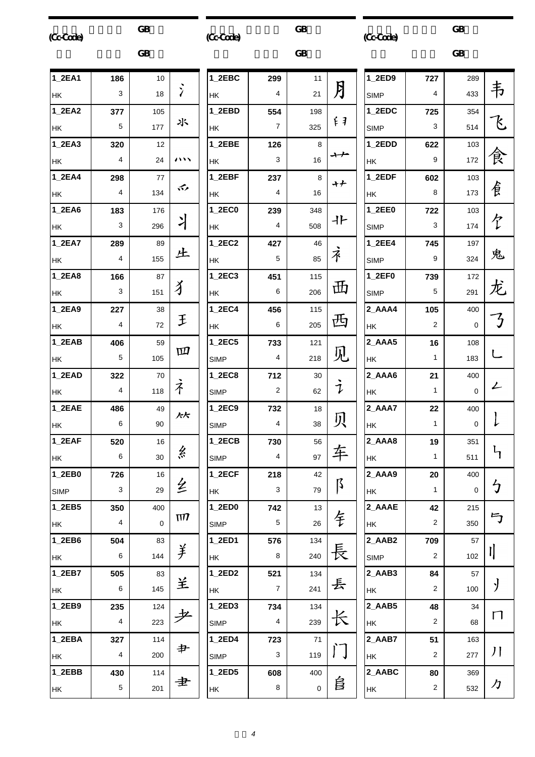| (Cc-Code)   |                | <b>GB</b> |                      | <b>GB</b><br>(Cc-Code) |                |             | (CcCode)      |             |
|-------------|----------------|-----------|----------------------|------------------------|----------------|-------------|---------------|-------------|
|             |                | <b>GB</b> |                      |                        |                |             |               |             |
| 1_2EA1      | 186            | 10        |                      | 1_2EBC                 | 299            | 11          |               | $1_2ED9$    |
| НK          | 3              | 18        | $\overline{\lambda}$ | НK                     | 4              | 21          | 月             | <b>SIMP</b> |
| 1_2EA2      | 377            | 105       |                      | 1_2EBD                 | 554            | 198         |               | 1_2EDC      |
| <b>HK</b>   | 5              | 177       | 氺                    | <b>HK</b>              | 7              | 325         | 千             | <b>SIMP</b> |
| 1_2EA3      | 320            | 12        |                      | 1_2EBE                 | 126            | 8           |               | 1_2EDD      |
| <b>HK</b>   | 4              | 24        | ハハ                   | НK                     | 3              | 16          | ナナ            | HK          |
| 1_2EA4      | 298            | 77        | 办                    | 1_2EBF                 | 237            | 8           | ナナ            | 1_2EDF      |
| <b>HK</b>   | 4              | 134       |                      | HK                     | 4              | 16          |               | HK          |
| 1_2EA6      | 183            | 176       |                      | 1_2EC0                 | 239            | 348         | 卝             | 1_2EE0      |
| НK          | 3              | 296       | ー                    | НK                     | 4              | 508         |               | <b>SIMP</b> |
| 1_2EA7      | 289            | 89        |                      | 1_2EC2                 | 427            | 46          |               | 1_2EE4      |
| <b>HK</b>   | 4              | 155       | 上                    | HK                     | 5              | 85          | 衤             | <b>SIMP</b> |
| 1_2EA8      | 166            | 87        |                      | 1_2EC3                 | 451            | 115         |               | $1_2EF0$    |
| НK          | 3              | 151       | 犭                    | HK                     | 6              | 206         | 毌             | <b>SIMP</b> |
| 1_2EA9      | 227            | 38        |                      | 1_2EC4                 | 456            | 115         |               | 2_AAA4      |
| НK          | 4              | 72        | 王                    | HK                     | 6              | 205         | 西             | HK          |
| 1_2EAB      | 406            | 59        |                      | 1_2EC5                 | 733            | 121         |               | 2_AAA5      |
| HK          | 5              | 105       | 四                    | <b>SIMP</b>            | 4              | 218         | 见             | HK          |
| 1_2EAD      | 322            | 70        |                      | 1_2EC8                 | 712            | 30          |               | 2_AAA6      |
| НK          | 4              | 118       | 孑                    | <b>SIMP</b>            | 2              | 62          | $\mathcal{I}$ | <b>HK</b>   |
| 1_2EAE      | 486            | 49        | 人大                   | 1_2EC9                 | 732            | 18          |               | 2_AAA7      |
| HK          | 6              | 90        |                      | <b>SIMP</b>            | 4              | 38          | 贝             | HK          |
| 1_2EAF      | 520            | 16        |                      | $1_2$ ECB              | 730            | 56          |               | 2_AAA8      |
| HK          | 6              | 30        | 糸                    | <b>SIMP</b>            | 4              | 97          | 车             | HK          |
| 1_2EB0      | 726            | 16        |                      | $1$ <sub>_2</sub> ECF  | 218            | 42          |               | 2_AAA9      |
| <b>SIMP</b> | 3              | 29        | 纟                    | HK                     | 3              | 79          | ß             | HK          |
| 1_2EB5      | 350            | 400       |                      | 1_2ED0                 | 742            | 13          |               | 2 AAAE      |
| HK          | 4              | 0         | $\Pi$                | <b>SIMP</b>            | 5              | 26          | 钅             | HK          |
| 1_2EB6      | 504            | 83        |                      | 1_2ED1                 | 576            | 134         |               | 2_AAB2      |
| HK          | 6              | 144       | 美                    | HK                     | 8              | 240         | 長             | <b>SIMP</b> |
| 1_2EB7      | 505            | 83        |                      | 1_2ED2                 | 521            | 134         |               | 2_AAB3      |
| HK          | 6              | 145       | 兰                    | HK                     | $\overline{7}$ | 241         | 丢             | HK          |
| 1_2EB9      | 235            | 124       |                      | 1_2ED3                 | 734            | 134         |               | 2_AAB5      |
| HK          | $\overline{4}$ | 223       |                      | <b>SIMP</b>            | 4              | 239         |               | HK          |
| 1_2EBA      | 327            | 114       |                      | 1_2ED4                 | 723            | 71          |               | 2_AAB7      |
| HK          | 4              | 200       | 护                    | <b>SIMP</b>            | 3              | 119         | I J           | HK          |
| 1_2EBB      | 430            | 114       |                      | 1_2ED5                 | 608            | 400         |               | 2_AABC      |
| HK          | 5              | 201       | 聿                    | HK                     | 8              | $\mathbf 0$ | 皀             | <b>HK</b>   |
|             |                |           |                      |                        |                |             |               |             |

|              |                | <b>GB</b>   |                |
|--------------|----------------|-------------|----------------|
| 1_2ED9       | 727            | 289         |                |
| <b>SIMP</b>  | 4              | 433         | 韦              |
| $1_2$ EDC    | 725            | 354         |                |
| <b>SIMP</b>  | 3              | 514         | k,             |
| $1_{.2}$ EDD | 622            | 103         |                |
| HΚ           | 9              | 172         | 食              |
| 1_2EDF       | 602            | 103         |                |
| HΚ           | 8              | 173         | 負              |
| 1_2EE0       | 722            | 103         |                |
| <b>SIMP</b>  | 3              | 174         | 个              |
| $1_2EE4$     | 745            | 197         |                |
| <b>SIMP</b>  | 9              | 324         | 鬼              |
| $1_2EF0$     | 739            | 172         |                |
| <b>SIMP</b>  | 5              | 291         | 龙              |
| 2_AAA4       | 105            | 400         | $\frac{1}{3}$  |
| HΚ           | $\overline{c}$ | 0           |                |
| 2_AAA5       | 16             | 108         |                |
| HΚ           | 1              | 183         | L              |
| 2_AAA6       | 21             | 400         |                |
| HΚ           | 1              | 0           | $\overline{L}$ |
| 2_AAA7       | 22             | 400         |                |
| HΚ           | 1              | $\mathbf 0$ | $\downarrow$   |
| 2_AAA8       | 19             | 351         |                |
| HΚ           | 1              | 511         | $\mathfrak{h}$ |
| 2_AAA9       | 20             | 400         |                |
| НK           | 1              | 0           | $\mathfrak h$  |
| 2_AAAE       | 42             | 215         |                |
| НK           | 2              | 350         | 与              |
| 2_AAB2       | 709            | 57          |                |
| SIMP         | 2              | 102         | IJ             |
| 2_AAB3       | 84             | 57          |                |
| НK           | 2              | 100         | $\mathcal{Y}$  |
| 2_AAB5       | 48             | 34          | П              |
| ΗK           | 2              | 68          |                |
| 2_AAB7       | 51             | 163         |                |
| HΚ           | 2              | 277         | $\int$         |
| 2_AABC       | 80             | 369         |                |
| HΚ           | 2              | 532         | カ              |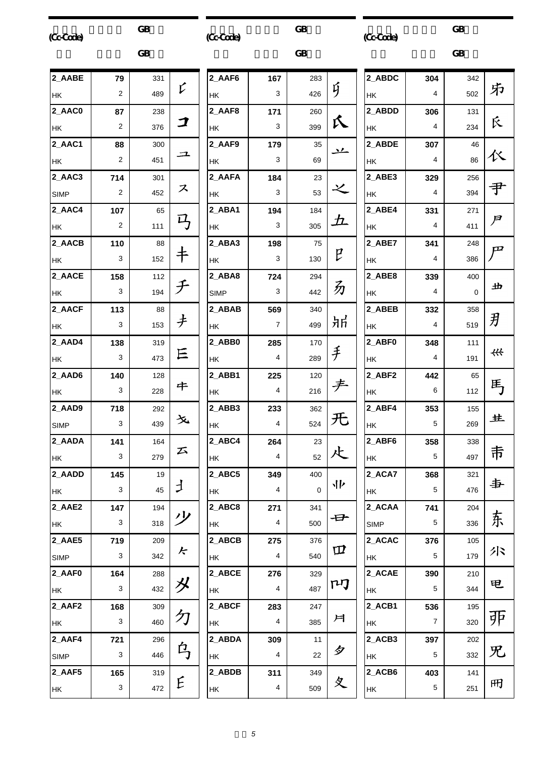| (Cc-Cade)   |                         | <b>GB</b> |           | (Cc-Code)   |                | <b>GB</b>      |              | (Cc-Code)                        |
|-------------|-------------------------|-----------|-----------|-------------|----------------|----------------|--------------|----------------------------------|
|             |                         | <b>GB</b> |           |             |                | <b>GB</b>      |              |                                  |
| 2_AABE      | 79                      | 331       |           | 2 AAF6      | 167            | 283            |              | 2_ABDC                           |
| HK          | 2                       | 489       | V         | HK          | 3              | 426            | ý            | HK                               |
| 2_AAC0      | 87                      | 238       |           | 2_AAF8      | 171            | 260            |              | 2_ABDD                           |
| HK          | $\overline{2}$          | 376       | コ         | HK          | 3              | 399            | 仄            | <b>HK</b>                        |
| 2_AAC1      | 88                      | 300       |           | 2_AAF9      | 179            | 35             | $\mathbf{v}$ | 2_ABDE                           |
| HK          | $\overline{2}$          | 451       | 그         | НK          | 3              | 69             |              | HK                               |
| 2_AAC3      | 714                     | 301       |           | 2_AAFA      | 184            | 23             |              | 2_ABE3                           |
| <b>SIMP</b> | $\overline{\mathbf{c}}$ | 452       | ス         | ΗK          | 3              | 53             | 之            | <b>HK</b>                        |
| 2_AAC4      | 107                     | 65        |           | 2_ABA1      | 194            | 184            |              | 2_ABE4                           |
| HK          | $\overline{2}$          | 111       | 马         | HK          | 3              | 305            | 彑            | HK                               |
| 2_AACB      | 110                     | 88        |           | 2_ABA3      | 198            | 75             |              | 2_ABE7                           |
| HK          | 3                       | 152       | 卡         | НK          | 3              | 130            | P            | HK                               |
| 2_AACE      | 158                     | 112       |           | 2_ABA8      | 724            | 294            |              | 2_ABE8                           |
| HK          | 3                       | 194       | チ         | <b>SIMP</b> | 3              | 442            | 办            | HK                               |
| 2_AACF      | 113                     | 88        |           | 2_ABAB      | 569            | 340            |              | 2_ABEB                           |
| HK          | 3                       | 153       | ナ         | HΚ          | 7              | 499            | 氘            | <b>HK</b>                        |
| 2_AAD4      | 138                     | 319       |           | 2_ABB0      | 285            | 170            |              | 2_ABF0                           |
| HK          | 3                       | 473       | 巨         | HK          | 4              | 289            | 手            | HK                               |
| 2_AAD6      | 140                     | 128       |           | 2_ABB1      | 225            | 120            |              | 2_ABF2                           |
| HK          | 3                       | 228       | 牛         | HK          | 4              | 216            | チ            | HK                               |
| 2_AAD9      | 718                     | 292       |           | 2 ABB3      | 233            | 362            |              | 2_ABF4                           |
| <b>SIMP</b> | 3                       | 439       | 夊         | НK          | 4              | 524            | 旡            | НK                               |
| 2_AADA      | 141                     | 164       |           | 2_ABC4      | 264            | 23             |              | 2_ABF6                           |
| <b>HK</b>   | 3                       | 279       | 云         | HK          | $\overline{4}$ | 52             | 尐            | <b>HK</b>                        |
| 2_AADD      | 145                     | 19        |           | 2_ABC5      | 349            | 400            |              | 2_ACA7                           |
| НK          | 3                       | 45        | $\bigcup$ | HK          | $\overline{4}$ | $\overline{0}$ | トリ           | <b>HK</b>                        |
| 2_AAE2      | 147                     | 194       |           | 2_ABC8      | 271            | 341            |              | 2_ACAA                           |
| HK          | 3                       | 318       | ッソ        | НK          | $\overline{4}$ | 500            | 母            | SIMP                             |
| 2_AAE5      | 719                     | 209       |           | 2_ABCB      | 275            | 376            |              | 2_ACAC                           |
| SIMP        | 3                       | 342       | 七         | HK          | 4              | 540            | Щ            | HK                               |
| 2_AAF0      | 164                     | 288       |           | 2_ABCE      | 276            | 329            |              | 2_ACAE                           |
| HK          | 3                       | 432       | メ         | HК          | 4              | 487            | ΓIJ          | <b>HK</b>                        |
| 2_AAF2      | 168                     | 309       |           | 2_ABCF      | 283            | 247            |              | $2$ <sub>_ACB1</sub>             |
| HK          | 3                       | 460       | 勽         | HК          | 4              | 385            | 戶            | HK                               |
| 2_AAF4      | 721                     | 296       |           | 2_ABDA      | 309            | 11             |              | $2$ <sub><math>ACB3</math></sub> |
| <b>SIMP</b> | 3                       | 446       | 乌         | HK          | $\overline{4}$ | 22             | 夕            | <b>HK</b>                        |
| 2_AAF5      | 165                     | 319       |           | 2_ABDB      | 311            | 349            |              | $2$ <sub>-ACB6</sub>             |
| HK          | 3                       | 472       | E         | HK          | 4              | 509            | 夊            | <b>HK</b>                        |

|        |                         | GB  |               |
|--------|-------------------------|-----|---------------|
| 2_ABDC | 304                     | 342 |               |
| ΗK     | 4                       | 502 | 疖             |
| 2 ABDD | 306                     | 131 |               |
| НK     | 4                       | 234 | 反             |
| 2_ABDE | 307                     | 46  |               |
| НK     | 4                       | 86  | 巜             |
| 2_ABE3 | 329                     | 256 |               |
| НK     | 4                       | 394 | 尹             |
| 2_ABE4 | 331                     | 271 |               |
| НK     | 4                       | 411 | $\mathcal{F}$ |
| 2_ABE7 | 341                     | 248 | $\mathbf{p}$  |
| НK     | 4                       | 386 |               |
| 2_ABE8 | 339                     | 400 |               |
| НK     | 4                       | 0   | 出             |
| 2_ABEB | 332                     | 358 |               |
| НK     | 4                       | 519 | 刃             |
| 2 ABF0 | 348                     | 111 |               |
| НK     | $\overline{\mathbf{4}}$ | 191 | ₩             |
| 2 ABF2 | 442                     | 65  |               |
| НK     | 6                       | 112 | 用             |
| 2_ABF4 | 353                     | 155 |               |
| НK     | 5                       | 269 | 生             |
| 2 ABF6 | 358                     | 338 |               |
| HΚ     | 5                       | 497 | 壭             |
| 2_ACA7 | 368                     | 321 |               |
| HΚ     | 5                       | 476 | 事             |
| 2 ACAA | 741                     | 204 |               |
| SIMP   | 5                       | 336 | 东             |
| 2_ACAC | 376                     | 105 |               |
| HΚ     | 5                       | 179 | 厼             |
| 2_ACAE | 390                     | 210 |               |
| HΚ     | 5                       | 344 | 电             |
| 2_ACB1 | 536                     | 195 |               |
| НK     | 7                       | 320 | 戼             |
| 2 ACB3 | 397                     | 202 |               |
| HΚ     | 5                       | 332 | 兄             |
| 2_ACB6 | 403                     | 141 |               |
| НK     | 5                       | 251 | 冊             |
|        |                         |     |               |

 $GB$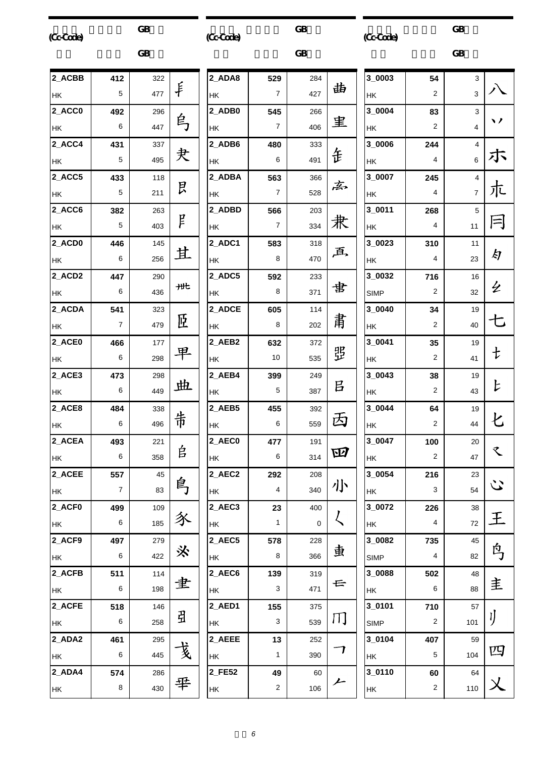| (Cc-Code) |                | <b>GB</b> |   | (Cc-Code) |                | <b>GB</b>   |                     | (Cc-Code)     |                | <b>GB</b>                 |
|-----------|----------------|-----------|---|-----------|----------------|-------------|---------------------|---------------|----------------|---------------------------|
|           |                | <b>GB</b> |   |           |                | <b>GB</b>   |                     |               |                | <b>GB</b>                 |
| 2_ACBB    | 412            | 322       |   | 2_ADA8    | 529            | 284         |                     | 3_0003        | 54             | $\mathbf{3}$              |
| HK        | 5              | 477       | 手 | HK        | $\overline{7}$ | 427         | 曲                   | HK            | 2              | $\ensuremath{\mathsf{3}}$ |
| 2_ACC0    | 492            | 296       |   | 2_ADB0    | 545            | 266         |                     | 3_0004        | 83             | $\mathbf{3}$              |
| HK        | 6              | 447       | 烏 | HK        | $\overline{7}$ | 406         | 里                   | HK            | 2              | $\overline{\mathbf{4}}$   |
| 2_ACC4    | 431            | 337       |   | 2_ADB6    | 480            | 333         |                     | 3_0006        | 244            | $\overline{4}$            |
| НK        | 5              | 495       | 夬 | HK        | 6              | 491         | 缶                   | НK            | 4              | 6                         |
| 2_ACC5    | 433            | 118       |   | 2_ADBA    | 563            | 366         | 离                   | 3_0007        | 245            | $\overline{\mathbf{4}}$   |
| HK        | 5              | 211       | 艮 | HK        | $\overline{7}$ | 528         |                     | НK            | 4              | $\overline{7}$            |
| 2_ACC6    | 382            | 263       |   | 2_ADBD    | 566            | 203         |                     | $3_0011$      | 268            | $\sqrt{5}$                |
| НK        | 5              | 403       | f | НK        | $\overline{7}$ | 334         | 栽                   | НK            | 4              | 11                        |
| 2_ACD0    | 446            | 145       |   | 2_ADC1    | 583            | 318         |                     | 3_0023        | 310            | 11                        |
| HK        | 6              | 256       | 苴 | НK        | 8              | 470         | 画                   | НK            | 4              | 23                        |
| 2 ACD2    | 447            | 290       |   | 2_ADC5    | 592            | 233         |                     | 3_0032        | 716            | 16                        |
| HK        | 6              | 436       | 卅 | НK        | 8              | 371         | 書                   | <b>SIMP</b>   | 2              | 32                        |
| 2_ACDA    | 541            | 323       |   | 2_ADCE    | 605            | 114         |                     | 3_0040        | 34             | 19                        |
| HK        | $\overline{7}$ | 479       | 匨 | НK        | 8              | 202         | 粛                   | НK            | 2              | 40                        |
| 2_ACE0    | 466            | 177       |   | 2_AEB2    | 632            | 372         |                     | 3_0041        | 35             | 19                        |
| НK        | 6              | 298       | 早 | НK        | 10             | 535         | 焸                   | НK            | 2              | 41                        |
| 2 ACE3    | 473            | 298       |   | 2_AEB4    | 399            | 249         |                     | 3_0043        | 38             | 19                        |
| НK        | 6              | 449       | 曲 | HK        | 5              | 387         | 吕                   | HK            | 2              | 43                        |
| 2_ACE8    | 484            | 338       |   | 2_AEB5    | 455            | 392         |                     | 3_0044        | 64             | 19                        |
| HK        | 6              | 496       | 芾 | HK        | $\,6\,$        | 559         | 丙                   | $\mathsf{HK}$ | 2              | 44                        |
| 2_ACEA    | 493            | 221       |   | 2_AEC0    | 477            | 191         |                     | $3_{0047}$    | 100            | 20                        |
| HK        | $\,6\,$        | 358       | 自 | <b>HK</b> | 6              | 314         | 四                   | <b>HK</b>     | $\overline{2}$ | 47                        |
| 2_ACEE    | 557            | 45        |   | 2_AEC2    | 292            | 208         |                     | 3_0054        | 216            | 23                        |
| <b>HK</b> | $\overline{7}$ | 83        | 鸟 | НK        | $\overline{4}$ | 340         | 小                   | HK            | 3              | 54                        |
| 2_ACF0    | 499            | 109       |   | 2_AEC3    | 23             | 400         |                     | 3_0072        | 226            | $38\,$                    |
| HK        | 6              | 185       | 豕 | HK        | $\mathbf{1}$   | $\mathbf 0$ | $\zeta$             | <b>HK</b>     | $\overline{4}$ | $72\,$                    |
| 2_ACF9    | 497            | 279       |   | 2_AEC5    | 578            | 228         |                     | 3_0082        | 735            | 45                        |
| HK        | $\,6\,$        | 422       | ※ | HK        | 8              | 366         | 叀                   | <b>SIMP</b>   | 4              | 82                        |
| 2_ACFB    | 511            | 114       |   | 2_AEC6    | 139            | 319         |                     | 3_0088        | 502            | 48                        |
| <b>HK</b> | $\,6\,$        | 198       | 聿 | НK        | 3              | 471         | 云                   | HK            | 6              | 88                        |
| 2_ACFE    | 518            | 146       |   | 2_AED1    | 155            | 375         |                     | 3_0101        | 710            | 57                        |
| HK        | 6              | 258       | 丑 | НK        | 3              | 539         | Щ                   | <b>SIMP</b>   | $\overline{c}$ | 101                       |
| 2_ADA2    | 461            | 295       |   | 2_AEEE    | 13             | 252         |                     | 3_0104        | 407            | 59                        |
| <b>HK</b> | 6              | 445       | 戋 | HK        | $\mathbf{1}$   | 390         | $\boldsymbol{\tau}$ | <b>HK</b>     | 5              | 104                       |
| 2_ADA4    | 574            | 286       |   | 2_FE52    | 49             | 60          |                     | 3_0110        | 60             | 64                        |
| HK        | 8              | 430       | 芈 | HK        | $\overline{2}$ | 106         | 亠                   | <b>HK</b>     | $\overline{2}$ | 110                       |
|           |                |           |   |           |                |             |                     |               |                |                           |

 $\overline{3}$ 

八

 $\sqrt{2}$ 

ホ

尢

月

kJ

 $\overline{z}$ 

七

 $\ddagger$ 

 $\overline{L}$ 

七

 $\hat{\mathbf{r}}$ 

 $\ddot{\omega}$ 

王

鸟

主

IJ

四

 $\lambda$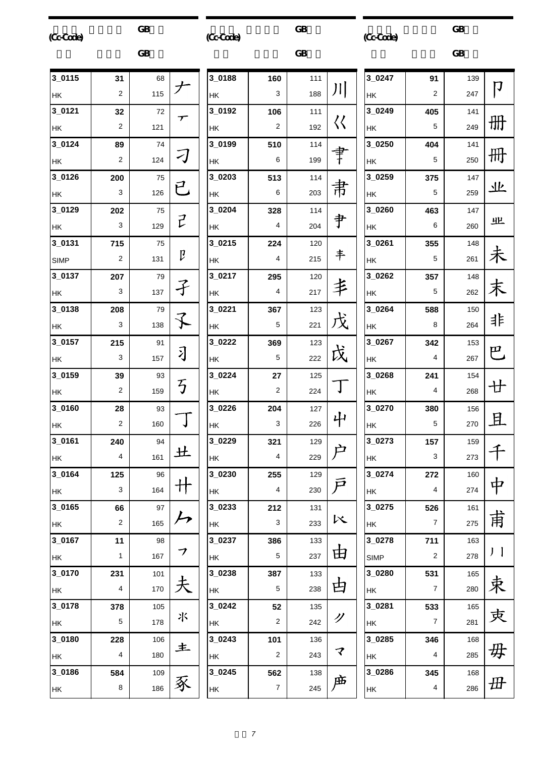| (Cc-Cade)   |                         | <b>GB</b> |                             | (Cc-Code)  |                  | GB        |                            | (Cc-Cade)     |                | <b>GB</b> |                   |
|-------------|-------------------------|-----------|-----------------------------|------------|------------------|-----------|----------------------------|---------------|----------------|-----------|-------------------|
|             |                         | <b>GB</b> |                             |            |                  | <b>GB</b> |                            |               |                | <b>GB</b> |                   |
| 3_0115      | 31                      | 68        |                             | 3_0188     | 160              | 111       |                            | 3_0247        | 91             | 139       | $\bm{\mathsf{D}}$ |
| HK          | 2                       | 115       | ブ                           | HK         | 3                | 188       | 川                          | HK            | 2              | 247       |                   |
| 3_0121      | 32                      | 72        | $\boldsymbol{\tau}$         | 3_0192     | 106              | 111       |                            | 3_0249        | 405            | 141       |                   |
| HK          | 2                       | 121       |                             | HK         | $\boldsymbol{2}$ | 192       | $\langle \langle$          | HK            | 5              | 249       | 册                 |
| 3_0124      | 89                      | 74        |                             | 3_0199     | 510              | 114       |                            | 3_0250        | 404            | 141       |                   |
| HK          | 2                       | 124       | 刁                           | HK         | 6                | 199       | 肀                          | HK            | 5              | 250       | 冊                 |
| 3_0126      | 200                     | 75        |                             | 3_0203     | 513              | 114       |                            | 3_0259        | 375            | 147       |                   |
| HK          | 3                       | 126       | 已                           | HK         | 6                | 203       | 帇                          | HK            | 5              | 259       | 业                 |
| 3_0129      | 202                     | 75        |                             | 3 0204     | 328              | 114       |                            | 3_0260        | 463            | 147       |                   |
| HK          | 3                       | 129       | $\vec{r}$                   | HK         | $\overline{4}$   | 204       | 肀                          | HK            | 6              | 260       | 业                 |
| 3_0131      | 715                     | 75        |                             | 3_0215     | 224              | 120       |                            | 3_0261        | 355            | 148       |                   |
| <b>SIMP</b> | $\overline{\mathbf{c}}$ | 131       | $\mathfrak p$               | HK         | $\overline{4}$   | 215       | 丰                          | <b>HK</b>     | 5              | 261       | 未                 |
| 3_0137      | 207                     | 79        |                             | 3_0217     | 295              | 120       |                            | 3_0262        | 357            | 148       |                   |
| HK          | 3                       | 137       | 孑                           | НK         | $\overline{4}$   | 217       | 丰                          | HK            | 5              | 262       | 末                 |
| 3_0138      | 208                     | 79        |                             | 3_0221     | 367              | 123       |                            | 3_0264        | 588            | 150       |                   |
| HK          | 3                       | 138       | $\bigstar$                  | HK         | 5                | 221       | 戊                          | HK            | 8              | 264       | 非                 |
| 3_0157      | 215                     | 91        |                             | 3_0222     | 369              | 123       |                            | 3_0267        | 342            | 153       |                   |
| HK          | 3                       | 157       | 习                           | HK         | 5                | 222       | 戉                          | HK            | 4              | 267       | 巴                 |
| 3_0159      | 39                      | 93        |                             | 3_0224     | 27               | 125       |                            | 3_0268        | 241            | 154       |                   |
| HK          | 2                       | 159       | 丂                           | HK         | $\overline{c}$   | 224       |                            | HK            | 4              | 268       | 廿                 |
| 3_0160      | 28                      | 93        |                             | 3_0226     | 204              | 127       |                            | 3_0270        | 380            | 156       |                   |
| HK          | $\overline{\mathbf{c}}$ | 160       | J                           | HK         | $\mathbf{3}$     | 226       | 屮                          | $\mathsf{HK}$ | 5              | 270       | 且                 |
| 3_0161      | 240                     | 94        |                             | 3_0229     | 321              | 129       |                            | 3_0273        | 157            | 159       |                   |
| HK          | 4                       | 161       | 土                           | HK         | $\overline{4}$   | 229       | 户                          | HK            | 3              | 273       |                   |
| 3_0164      | 125                     | 96        |                             | 3_0230     | 255              | 129       |                            | 3_0274        | 272            | 160       |                   |
| HK          | 3                       | 164       | $\ddagger$                  | HK         | $\overline{4}$   | 230       | $\bar{\mathcal{F}}$        | HK            | 4              | 274       | 中                 |
| 3_0165      | 66                      | 97        |                             | 3_0233     | 212              | 131       |                            | 3_0275        | 526            | 161       |                   |
| HK          | $\overline{c}$          | 165       | $\mathcal{L}_{\mathcal{P}}$ | HK         | $\mathbf{3}$     | 233       | へ                          | HK            | $\overline{7}$ | 275       | 甫                 |
| 3_0167      | 11                      | 98        |                             | 3_0237     | 386              | 133       |                            | 3_0278        | 711            | 163       |                   |
| HK          | $\mathbf{1}$            | 167       | フ                           | HK         | $5\,$            | 237       | 由                          | <b>SIMP</b>   | $\sqrt{2}$     | 278       | $J \mid$          |
| 3_0170      | 231                     | 101       |                             | 3_0238     | 387              | 133       |                            | 3_0280        | 531            | 165       |                   |
| HK          | 4                       | 170       | 夫                           | HK         | 5                | 238       | 甴                          | HK            | $\overline{7}$ | 280       | 束                 |
| 3_0178      | 378                     | 105       |                             | $3_{0242}$ | 52               | 135       |                            | 3_0281        | 533            | 165       |                   |
| HK          | 5                       | 178       | 氺                           | HK         | $\overline{2}$   | 242       | Ŋ                          | HK            | 7              | 281       | 吏                 |
| 3_0180      | 228                     | 106       |                             | $3_0243$   | 101              | 136       |                            | 3_0285        | 346            | 168       |                   |
| HK          | 4                       | 180       | 主                           | HK         | $\overline{2}$   | 243       | $\boldsymbol{\mathcal{F}}$ | HK            | 4              | 285       | 毋                 |
| 3_0186      | 584                     | 109       |                             | $3_0245$   | 562              | 138       |                            | 3_0286        | 345            | 168       |                   |
| HK          | 8                       | 186       | 豖                           | HK         | $\boldsymbol{7}$ | 245       | 庙                          | HK            | 4              | 286       | 毌                 |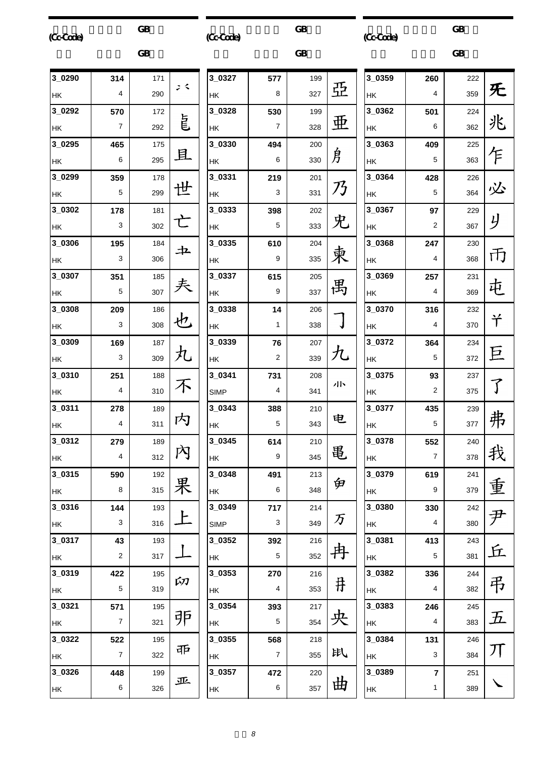| (Cc-Cade)   |                | <b>GB</b> |     | (Cc-Cade)   |                | <b>GB</b> |               | (CcCode) |                | <b>GB</b> |                    |
|-------------|----------------|-----------|-----|-------------|----------------|-----------|---------------|----------|----------------|-----------|--------------------|
|             |                | <b>GB</b> |     |             |                | <b>GB</b> |               |          |                | <b>GB</b> |                    |
| 3_0290      | 314            | 171       |     | 3_0327      | 577            | 199       |               | 3_0359   | 260            | 222       |                    |
| <b>HK</b>   | 4              | 290       | ょく  | HK          | 8              | 327       | 亞             | HK       | $\overline{4}$ | 359       | 旡                  |
| 3_0292      | 570            | 172       |     | 3_0328      | 530            | 199       |               | 3_0362   | 501            | 224       |                    |
| HK          | $\overline{7}$ | 292       | 皀   | HK          | 7              | 328       | 亜             | HK       | 6              | 362       | 兆                  |
| $3_{.0295}$ | 465            | 175       |     | 3_0330      | 494            | 200       |               | 3_0363   | 409            | 225       |                    |
| HK          | 6              | 295       | 且   | HK          | 6              | 330       | 身             | HK       | 5              | 363       | 乍                  |
| 3_0299      | 359            | 178       |     | 3_0331      | 219            | 201       |               | 3_0364   | 428            | 226       |                    |
| <b>HK</b>   | 5              | 299       | 世   | HK          | 3              | 331       | 乃             | НK       | 5              | 364       | 必                  |
| 3_0302      | 178            | 181       |     | 3_0333      | 398            | 202       |               | 3_0367   | 97             | 229       |                    |
| HK)         | 3              | 302       | 亡   | HK          | 5              | 333       | 兂             | HK       | 2              | 367       | y                  |
| 3_0306      | 195            | 184       | 土   | 3_0335      | 610            | 204       |               | 3_0368   | 247            | 230       |                    |
| HK)         | 3              | 306       |     | HK          | 9              | 335       | 柬             | HK       | 4              | 368       | 币                  |
| 3_0307      | 351            | 185       |     | 3_0337      | 615            | 205       |               | 3_0369   | 257            | 231       |                    |
| HK)         | 5              | 307       | 夫   | <b>HK</b>   | 9              | 337       | 禺             | HK       | 4              | 369       | 屯                  |
| 3_0308      | 209            | 186       |     | 3_0338      | 14             | 206       |               | 3_0370   | 316            | 232       |                    |
| HK          | 3              | 308       | 也   | HK          | 1              | 338       |               | НK       | 4              | 370       | 兯                  |
| 3_0309      | 169            | 187       |     | 3_0339      | 76             | 207       |               | 3_0372   | 364            | 234       |                    |
| HK          | 3              | 309       | 九   | HK          | $\overline{2}$ | 339       | 九             | HK       | 5              | 372       | 巨                  |
| 3_0310      | 251            | 188       |     | 3_0341      | 731            | 208       |               | 3 0375   | 93             | 237       |                    |
| HK          | 4              | 310       | 不   | <b>SIMP</b> | 4              | 341       | 小             | HK       | $\overline{2}$ | 375       | $\overline{\int}$  |
| 3_0311      | 278            | 189       |     | 3_0343      | 388            | 210       |               | 3_0377   | 435            | 239       |                    |
| HK          | 4              | 311       | 内   | HK          | 5              | 343       | 电             | HK       | 5              | 377       | 弗                  |
| $3_{.0312}$ | 279            | 189       |     | 3_0345      | 614            | 210       |               | 3_0378   | 552            | 240       |                    |
| <b>HK</b>   | 4              | 312       | 內   | <b>HK</b>   | 9              | 345       | 黾             | HK       | $\overline{7}$ | 378       | 我                  |
| $3_{-0315}$ | 590            | 192       |     | 3_0348      | 491            | 213       |               | 3_0379   | 619            | 241       |                    |
| <b>HK</b>   | 8              | 315       | 果   | HK          | 6              | 348       | 臾             | HK       | 9              | 379       | 重                  |
| 3_0316      | 144            | 193       |     | 3_0349      | 717            | 214       |               | 3_0380   | 330            | 242       |                    |
| HK          | 3              | 316       | 上   | <b>SIMP</b> | 3              | 349       | $\mathcal{F}$ | HK       | 4              | 380       | 尹                  |
| $3_{-0317}$ | 43             | 193       |     | 3_0352      | 392            | 216       |               | 3_0381   | 413            | 243       |                    |
| HK          | $\overline{c}$ | 317       |     | HK          | 5              | 352       | 冉             | HK       | 5              | 381       | 丘                  |
| 3_0319      | 422            | 195       |     | 3_0353      | 270            | 216       |               | 3_0382   | 336            | 244       |                    |
| <b>HK</b>   | 5              | 319       | 卬   | HK          | 4              | 353       | 井             | НK       | $\overline{4}$ | 382       | 弔                  |
| $3 - 0321$  | 571            | 195       |     | 3_0354      | 393            | 217       |               | 3_0383   | 246            | 245       |                    |
| <b>HK</b>   | $\overline{7}$ | 321       | 戼   | HK          | $\mathbf 5$    | 354       | 央             | НK       | 4              | 383       | $\bm{\mathcal{F}}$ |
| $3 - 0322$  | 522            | 195       |     | 3_0355      | 568            | 218       |               | 3_0384   | 131            | 246       |                    |
| <b>HK</b>   | $\overline{7}$ | 322       | तमि | НK          | $\overline{7}$ | 355       | 趴             | НK       | 3              | 384       | 丌                  |
| 3_0326      | 448            | 199       |     | 3_0357      | 472            | 220       |               | 3_0389   | $\overline{7}$ | 251       |                    |
| <b>HK</b>   | 6              | 326       | 亚   | HK          | 6              | 357       | 曲             | НK       | 1              | 389       |                    |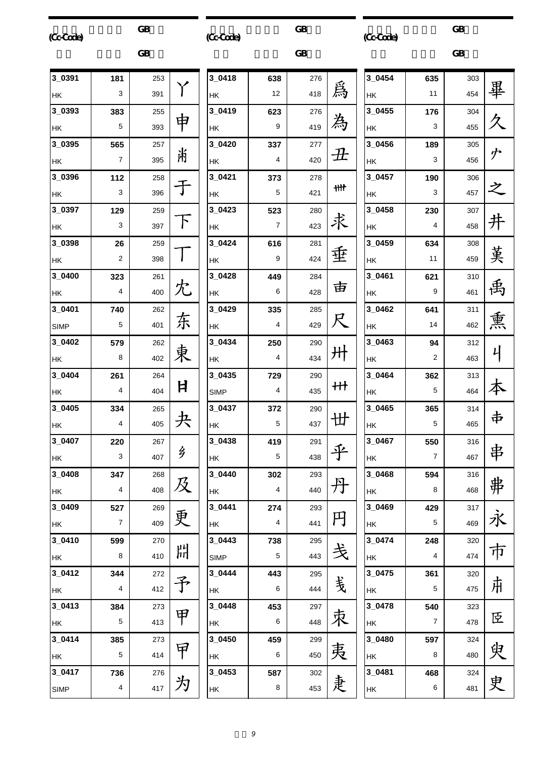| (Cc-Cade) |
|-----------|
|-----------|

 $GB$ 

 $\overline{\text{GB}}$ (Cc-Code)

 $GB$ 

 $\overline{\text{GB}}$ (Cc-Code)

|             |     | <b>GB</b> |   |                            |
|-------------|-----|-----------|---|----------------------------|
| 3_0391      | 181 | 253       |   | 3 <sub>l</sub>             |
| HK          | 3   | 391       |   | H                          |
| 3_0393      | 383 | 255       |   | 3 <sub>1</sub>             |
| HK          | 5   | 393       | 申 | HI                         |
| 3_0395      | 565 | 257       |   | $3-$                       |
| HK          | 7   | 395       | 淅 | H                          |
| 3_0396      | 112 | 258       |   | $3-$                       |
| HK          | 3   | 396       |   | H                          |
| 3_0397      | 129 | 259       |   | 3                          |
| HK          | 3   | 397       |   | H                          |
| 3_0398      | 26  | 259       |   | 3 <sub>1</sub>             |
| <b>HK</b>   | 2   | 398       |   | н                          |
| 3_0400      | 323 | 261       |   | 3                          |
| HK          | 4   | 400       | 冘 | H                          |
| 3 0401      | 740 | 262       |   | $3-$                       |
| <b>SIMP</b> | 5   | 401       | 东 | H                          |
| 3 0402      | 579 | 262       |   | $3-$                       |
| HK          | 8   | 402       |   | H                          |
| 3_0404      | 261 | 264       |   | 3                          |
| HK          | 4   | 404       | 日 | SI                         |
| 3_0405      | 334 | 265       |   | $3-$                       |
| HK          | 4   | 405       |   | H                          |
| 3_0407      | 220 | 267       |   | $3-$                       |
| HΚ          | 3   | 407       | 乡 | H                          |
| 3_0408      | 347 | 268       |   | 3 <sub>1</sub>             |
| HK          | 4   | 408       | 及 | H                          |
| 3 0409      | 527 | 269       |   | $\overline{\mathbf{3}}$    |
| HK          | 7   | 409       | 更 | HI                         |
| 3 0410      | 599 | 270       |   | $3_{\scriptscriptstyle -}$ |
| HK          | 8   | 410       | 朌 | SI                         |
| 3_0412      | 344 | 272       |   | $3_{\scriptscriptstyle -}$ |
| HK          | 4   | 412       | 予 | H                          |
| 3_0413      | 384 | 273       |   | 3                          |
| HK          | 5   | 413       | 甲 | H                          |
| 3 0414      | 385 | 273       |   | 3 <sub>1</sub>             |
| HK          | 5   | 414       | ヤ | H                          |
| 3_0417      | 736 | 276       |   | $3_{\scriptscriptstyle -}$ |
| <b>SIMP</b> | 4   | 417       | 为 | $\mathsf{H}$               |
|             |     |           |   |                            |

| $3_0418$      | 638 | 276 |                            |
|---------------|-----|-----|----------------------------|
| HK            | 12  | 418 | 爲                          |
| 3_0419        | 623 | 276 |                            |
| <b>HK</b>     | 9   | 419 | 為                          |
| 3_0420        | 337 | 277 |                            |
| HK            | 4   | 420 | $\boldsymbol{\mathcal{H}}$ |
| 3_0421        | 373 | 278 |                            |
| HK            | 5   | 421 | ₩t                         |
| 3_0423        | 523 | 280 |                            |
| HK            | 7   | 423 | 求                          |
| 3_0424        | 616 | 281 |                            |
| HK            | 9   | 424 | 垂                          |
| 3_0428        | 449 | 284 |                            |
| <b>HK</b>     | 6   | 428 | 亩                          |
| 3 0429        | 335 | 285 |                            |
| <b>HK</b>     | 4   | 429 | R                          |
| 3_0434        | 250 | 290 |                            |
| $\mathsf{HK}$ | 4   | 434 | 卅                          |
| 3_0435        | 729 | 290 |                            |
| <b>SIMP</b>   | 4   | 435 | 卄                          |
| 3_0437        | 372 | 290 |                            |
| HK            | 5   | 437 | 丗                          |
| 3_0438        | 419 | 291 |                            |
| HK            | 5   | 438 |                            |
| 3 0440        | 302 | 293 |                            |
| HK            | 4   | 440 | 丹                          |
| 3_0441        | 274 | 293 |                            |
| HK            | 4   | 441 | 円                          |
| 3_0443        | 738 | 295 |                            |
| <b>SIMP</b>   | 5   | 443 | 戋                          |
| 3 0444        | 443 | 295 |                            |
| HK            | 6   | 444 | 戋                          |
| 3_0448        | 453 | 297 |                            |
| HK            | 6   | 448 | 朿                          |
| 3_0450        | 459 | 299 |                            |
| HK            | 6   | 450 | 夷                          |
| 3_0453        | 587 | 302 |                            |
| HK            | 8   | 453 | 疌                          |

| 3_0454      | 635 | 303 |     |
|-------------|-----|-----|-----|
| НK          | 11  | 454 | 畢   |
| 3_0455      | 176 | 304 |     |
| НK          | 3   | 455 |     |
| 3_0456      | 189 | 305 |     |
| HΚ          | 3   | 456 | ゥ   |
| $3_{0457}$  | 190 | 306 |     |
| HΚ          | 3   | 457 |     |
| $3_{-}0458$ | 230 | 307 |     |
| HΚ          | 4   | 458 | 井   |
| 3_0459      | 634 | 308 |     |
| HΚ          | 11  | 459 | 茣   |
| 3_0461      | 621 | 310 |     |
| HΚ          | 9   | 461 | 禹   |
| 3_0462      | 641 | 311 |     |
| HΚ          | 14  | 462 | 熏   |
| 3_0463      | 94  | 312 |     |
| HΚ          | 2   | 463 | 니   |
| 3_0464      | 362 | 313 |     |
| HΚ          | 5   | 464 | 本   |
| 3_0465      | 365 | 314 |     |
| HΚ          | 5   | 465 | 中   |
| 3 0467      | 550 | 316 |     |
| HΚ          | 7   | 467 | 串   |
| 3_0468      | 594 | 316 |     |
| HΚ          | 8   | 468 | 弗 永 |
| 3 0469      | 429 | 317 |     |
| HΚ          | 5   | 469 |     |
| $3_{0474}$  | 248 | 320 |     |
| HΚ          | 4   | 474 | 市   |
| 3_0475      | 361 | 320 |     |
| HΚ          | 5   | 475 | 市   |
| 3 0478      | 540 | 323 |     |
| HΚ          | 7   | 478 | 臣   |
| 3 0480      | 597 | 324 |     |
| HΚ          | 8   | 480 | 臾   |
| 3_0481      | 468 | 324 | 史   |
| HΚ          | 6   | 481 |     |
|             |     |     |     |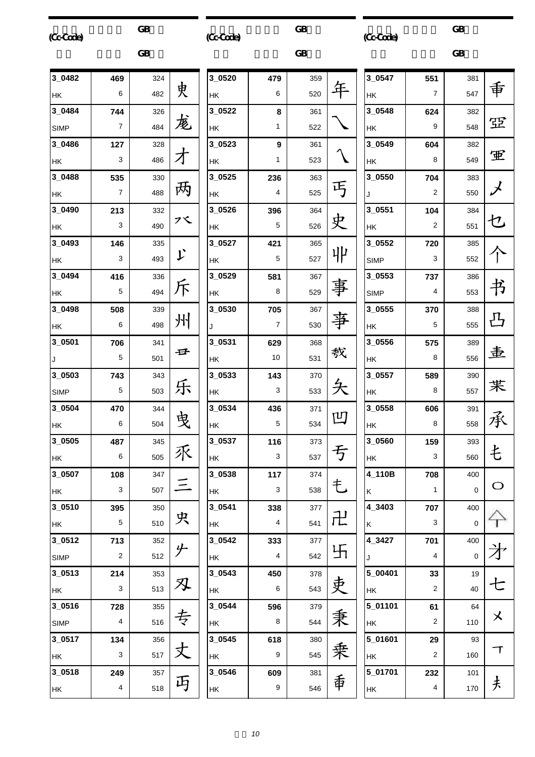|           | <b>GB</b> |
|-----------|-----------|
| (Cc-Code) |           |

 $\overline{\text{GB}}$ 

(Cc-Code)

 $GB$ 

 $\overline{\text{GB}}$ (Cc-Code)

|             |     | <b>GB</b> |    |             |
|-------------|-----|-----------|----|-------------|
| 3_0482      | 469 | 324       |    | $3_052$     |
| HK          | 6   | 482       | 史  | НK          |
| 3 0484      | 744 | 326       |    | $3 - 052$   |
| <b>SIMP</b> | 7   | 484       | 庞  | ΗK          |
| 3 0486      | 127 | 328       |    | 3052        |
| HK          | 3   | 486       |    | НK          |
| 3_0488      | 535 | 330       |    | $3_052$     |
| HK          | 7   | 488       | 两  | НK          |
| 3_0490      | 213 | 332       |    | $3 - 052$   |
| <b>HK</b>   | 3   | 490       | プく | <b>HK</b>   |
| 3_0493      | 146 | 335       |    | $3 - 052$   |
| HK          | 3   | 493       | レ  | <b>HK</b>   |
| 3_0494      | 416 | 336       |    | $3_{-052}$  |
| HK          | 5   | 494       | 斥  | HΚ          |
| 3_0498      | 508 | 339       |    | $3_05$      |
| HK          | 6   | 498       | 州  | J           |
| 3_0501      | 706 | 341       |    | $3_05$      |
| J           | 5   | 501       | 壬  | HΚ          |
| 3_0503      | 743 | 343       |    | $3_05$      |
| <b>SIMP</b> | 5   | 503       | 乐  | HK          |
| 3_0504      | 470 | 344       |    | $3_05$      |
| HK          | 6   | 504       |    | HK          |
| 3_0505      | 487 | 345       |    | $3_05$      |
| НK          | 6   | 505       | 乑  | HK          |
| 3_0507      | 108 | 347       |    | $3_{.05}$   |
| НK          | 3   | 507       |    | HΚ          |
| 3_0510      | 395 | 350       |    | $3 - 054$   |
| HK          | 5   | 510       | 央  | НK          |
| $3_{0512}$  | 713 | 352       |    | $3_{-054}$  |
| <b>SIMP</b> | 2   | 512       |    | НK          |
| $3_{-0513}$ | 214 | 353       |    | $3_{-054}$  |
| НK          | 3   | 513       | ╳Ļ | НK          |
| 3_0516      | 728 | 355       |    | $3_{-054}$  |
| <b>SIMP</b> | 4   | 516       | 专  | HΚ          |
| 3_0517      | 134 | 356       |    | $3_{0.054}$ |
| HK          | 3   | 517       |    | ΗK          |
| 3_0518      | 249 | 357       |    | $3_{-054}$  |
| ΗK          | 4   | 518       | 丏  | НK          |

| 3_0520    | 479            | 359 |     |
|-----------|----------------|-----|-----|
| HK        | 6              | 520 |     |
| 3_0522    | 8              | 361 |     |
| <b>HK</b> | 1              | 522 |     |
| 3_0523    | 9              | 361 |     |
| HK        | 1              | 523 |     |
| 3_0525    | 236            | 363 |     |
| HK        | $\overline{4}$ | 525 |     |
| 3_0526    | 396            | 364 |     |
| HK        | 5              | 526 |     |
| 3_0527    | 421            | 365 |     |
| HK        | 5              | 527 | ᆘ   |
| 3_0529    | 581            | 367 |     |
| HK        | 8              | 529 |     |
| 3_0530    | 705            | 367 |     |
| J         | 7              | 530 |     |
| 3_0531    | 629            | 368 |     |
| HK        | 10             | 531 | 教   |
| 3_0533    | 143            | 370 |     |
| HK        | 3              | 533 |     |
| 3_0534    | 436            | 371 |     |
| HK        | 5              | 534 | 凹   |
| 3_0537    | 116            | 373 |     |
| <b>HK</b> | 3              | 537 |     |
| 3_0538    | 117            | 374 |     |
| HK        | 3              | 538 | 乇   |
| 3 0541    | 338            | 377 |     |
| HK        | 4              | 541 | 卍   |
| 3_0542    | 333            | 377 |     |
| <b>HK</b> | 4              | 542 | 卐   |
| 3_0543    | 450            | 378 |     |
| HK        | 6              | 543 | 吏   |
| 3_0544    | 596            | 379 |     |
| HK        | 8              | 544 | 秉   |
| 3_0545    | 618            | 380 |     |
| HK        | 9              | 545 | 乗一重 |
| 3_0546    | 609            | 381 |     |
| HK        | 9              | 546 |     |
|           |                |     |     |

| 3_0547             | 551 | 381 |                      |
|--------------------|-----|-----|----------------------|
| HΚ                 | 7   | 547 | 重                    |
| $3_{0.0548}$       | 624 | 382 |                      |
| НK                 | 9   | 548 | 空                    |
| 3_0549             | 604 | 382 |                      |
| HΚ                 | 8   | 549 | 軍                    |
| 3_0550             | 704 | 383 |                      |
| J                  | 2   | 550 | $\chi$               |
| 3_0551             | 104 | 384 |                      |
| HΚ                 | 2   | 551 | セ                    |
| 3 0552             | 720 | 385 |                      |
| <b>SIMP</b>        | 3   | 552 |                      |
| 3_0553             | 737 | 386 |                      |
| <b>SIMP</b>        | 4   | 553 | 书                    |
| 3 0555             | 370 | 388 |                      |
| HΚ                 | 5   | 555 | $\frac{\Pi}{\Delta}$ |
| 3_0556             | 575 | 389 |                      |
| НK                 | 8   | 556 | 圭                    |
| 3_0557             | 589 | 390 |                      |
| ΗK                 | 8   | 557 | 苿                    |
| 3 0558             | 606 | 391 |                      |
| НK                 | 8   | 558 | 承                    |
| 3_0560             | 159 | 393 | <br>七                |
| НK                 | 3   | 560 |                      |
| 4_110B             | 708 | 400 |                      |
| K                  | 1   | 0   | C                    |
| $4_{-}3403$        | 707 | 400 |                      |
| K                  | 3   | 0   |                      |
| $\frac{1}{4}$ 3427 | 701 | 400 |                      |
| J                  | 4   | 0   |                      |
| 5 00401            | 33  | 19  |                      |
| HK                 | 2   | 40  | ヒ                    |
| 5_01101            | 61  | 64  |                      |
| ΗK                 | 2   | 110 | メ                    |
| 5_01601            | 29  | 93  |                      |
| HK                 | 2   | 160 | Г                    |
| 5_01701            | 232 | 101 |                      |
| HK                 | 4   | 170 | 夫                    |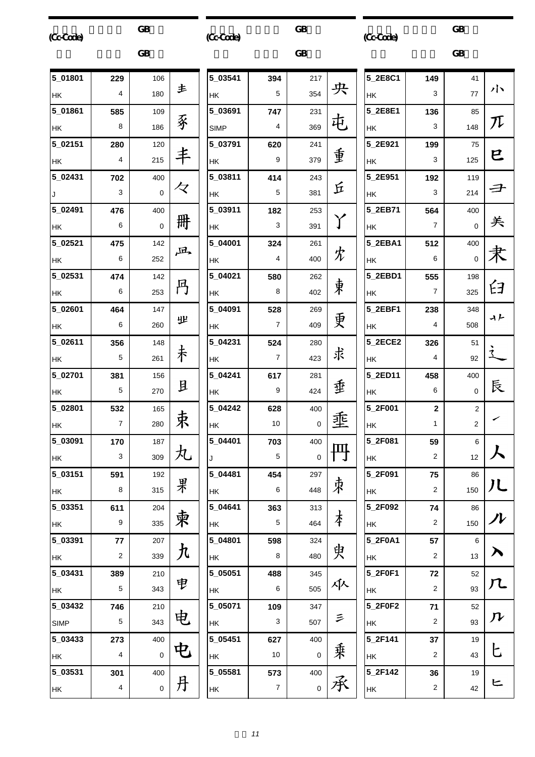| (Cc-Code)   |                | <b>GB</b> |                    | (Cc-Cade)   |                | GB          |   | (CcCode)  |                         | <b>GB</b>      |                    |
|-------------|----------------|-----------|--------------------|-------------|----------------|-------------|---|-----------|-------------------------|----------------|--------------------|
|             |                | <b>GB</b> |                    |             |                | <b>GB</b>   |   |           |                         | <b>GB</b>      |                    |
| 5 01801     | 229            | 106       |                    | 5_03541     | 394            | 217         |   | 5_2E8C1   | 149                     | 41             |                    |
| HK          | 4              | 180       | 主                  | HK          | 5              | 354         | 央 | HK        | 3                       | 77             | バヽ                 |
| 5_01861     | 585            | 109       |                    | 5_03691     | 747            | 231         |   | 5_2E8E1   | 136                     | 85             |                    |
| HK          | 8              | 186       | 豖                  | <b>SIMP</b> | 4              | 369         | 屯 | HK        | 3                       | 148            | ${\cal T}$         |
| 5_02151     | 280            | 120       |                    | 5_03791     | 620            | 241         |   | 5_2E921   | 199                     | 75             |                    |
| <b>HK</b>   | 4              | 215       | 丰                  | НK          | 9              | 379         | 重 | HK        | 3                       | 125            | ヒ                  |
| 5_02431     | 702            | 400       |                    | 5_03811     | 414            | 243         |   | 5_2E951   | 192                     | 119            |                    |
| J           | 3              | 0         | 々                  | HK          | 5              | 381         | 丘 | HK        | 3                       | 214            | 子                  |
| 5_02491     | 476            | 400       |                    | 5_03911     | 182            | 253         |   | 5 2EB71   | 564                     | 400            |                    |
| <b>HK</b>   | 6              | 0         | 册                  | HK          | 3              | 391         | Y | HK        | $\overline{7}$          | $\mathbf 0$    | 关                  |
| 5_02521     | 475            | 142       | 凪                  | 5 04001     | 324            | 261         |   | 5_2EBA1   | 512                     | 400            |                    |
| <b>HK</b>   | 6              | 252       |                    | HK          | 4              | 400         | 冘 | HK        | 6                       | $\mathbf 0$    | 隶                  |
| 5_02531     | 474            | 142       |                    | 5_04021     | 580            | 262         |   | 5_2EBD1   | 555                     | 198            |                    |
| HK          | 6              | 253       | 円                  | HK          | 8              | 402         | 東 | <b>HK</b> | $\overline{7}$          | 325            | 臼                  |
| 5_02601     | 464            | 147       |                    | 5_04091     | 528            | 269         |   | 5_2EBF1   | 238                     | 348            | ィト                 |
| HK          | 6              | 260       | 业                  | HK          | $\overline{7}$ | 409         | 更 | HK        | 4                       | 508            |                    |
| 5_02611     | 356            | 148       |                    | 5_04231     | 524            | 280         |   | 5_2ECE2   | 326                     | 51             |                    |
| HK          | 5              | 261       | 未                  | НK          | $\overline{7}$ | 423         | 求 | HK        | 4                       | 92             |                    |
| 5 02701     | 381            | 156       |                    | 5_04241     | 617            | 281         |   | 5_2ED11   | 458                     | 400            |                    |
| HK          | 5              | 270       | 且                  | HK          | 9              | 424         | 垂 | HK        | 6                       | $\mathbf 0$    | 辰                  |
| 5_02801     | 532            | 165       |                    | 5_04242     | 628            | 400         |   | 5_2F001   | $\overline{2}$          | $\overline{2}$ |                    |
| <b>HK</b>   | $\overline{7}$ | 280       | 束                  | <b>HK</b>   | 10             | $\mathsf 0$ | 埀 | <b>HK</b> | 1                       | $\overline{2}$ | ╭                  |
| 5_03091     | 170            | 187       |                    | 5_04401     | 703            | 400         |   | 5_2F081   | 59                      | $\,6\,$        |                    |
| <b>HK</b>   | 3              | 309       | 丸                  | J           | 5              | $\pmb{0}$   | 円 | HK        | $\overline{\mathbf{c}}$ | 12             |                    |
| 5_03151     | 591            | 192       |                    | 5_04481     | 454            | 297         |   | 5_2F091   | 75                      | 86             |                    |
| <b>HK</b>   | 8              | 315       | 果                  | HK          | 6              | 448         | 朿 | HK        | $\overline{2}$          | 150            | 儿                  |
| 5_03351     | 611            | 204       |                    | 5 04641     | 363            | 313         |   | 5_2F092   | 74                      | 86             |                    |
| <b>HK</b>   | 9              | 335       | 柬                  | HK          | 5              | 464         | 本 | HK        | $\overline{2}$          | 150            | ハ                  |
| 5_03391     | 77             | 207       |                    | 5_04801     | 598            | 324         |   | 5_2F0A1   | 57                      | 6              |                    |
| <b>HK</b>   | $\sqrt{2}$     | 339       | $\bm{\mathcal{h}}$ | HK          | 8              | 480         | 臾 | HK        | $\overline{2}$          | 13             | ∧                  |
| 5_03431     | 389            | 210       |                    | 5_05051     | 488            | 345         |   | 5_2F0F1   | 72                      | 52             |                    |
| HK          | 5              | 343       | 电                  | HK          | 6              | 505         | 乑 | HK        | $\sqrt{2}$              | 93             | 几                  |
| 5_03432     | 746            | 210       |                    | 5_05071     | 109            | 347         |   | 5_2F0F2   | 71                      | 52             |                    |
| <b>SIMP</b> | 5              | 343       | 电                  | HK          | 3              | 507         | 三 | HK        | $\overline{2}$          | 93             | $\bm{\mathcal{N}}$ |
| 5_03433     | 273            | 400       |                    | 5_05451     | 627            | 400         |   | 5_2F141   | 37                      | 19             |                    |
| HK          | 4              | 0         | 电                  | HK          | 10             | $\mathbf 0$ | 乗 | HK        | 2                       | 43             | ヒ                  |
| 5_03531     | 301            | 400       |                    | 5_05581     | 573            | 400         |   | 5_2F142   | 36                      | 19             |                    |
| <b>HK</b>   | 4              | 0         | 丹                  | HK          | $\overline{7}$ | $\mathbf 0$ | 承 | HK        | $\sqrt{2}$              | 42             | ヒ                  |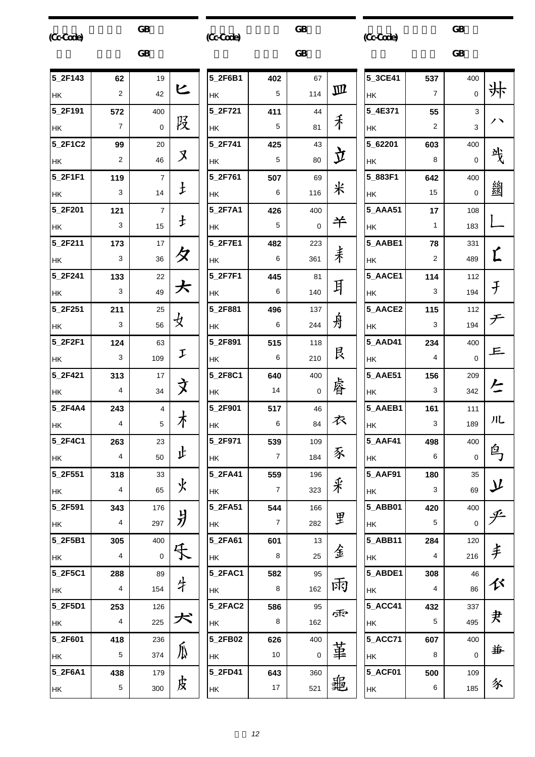| (Cc-Cade) |                | <b>GB</b>           |            | (Cc-Code) |                  | <b>GB</b>   |              | (Cc-Code) |                | <b>GB</b>           |                    |
|-----------|----------------|---------------------|------------|-----------|------------------|-------------|--------------|-----------|----------------|---------------------|--------------------|
|           |                | <b>GB</b>           |            |           |                  | <b>GB</b>   |              |           |                | GB                  |                    |
| 5_2F143   | 62             | 19                  |            | 5_2F6B1   | 402              | 67          |              | 5_3CE41   | 537            | 400                 |                    |
| HK        | $\overline{2}$ | 42                  | ヒ          | HK        | 5                | 114         | $\mathbf{m}$ | HK        | $\overline{7}$ | $\mathsf{O}\xspace$ | 垰                  |
| 5_2F191   | 572            | 400                 |            | 5_2F721   | 411              | 44          |              | 5_4E371   | 55             | 3                   | ハ                  |
| HK        | $\overline{7}$ | $\mathbf 0$         | 股          | НK        | 5                | 81          | 手            | HK        | 2              | 3                   |                    |
| 5_2F1C2   | 99             | 20                  | X          | 5_2F741   | 425              | 43          |              | 5_62201   | 603            | 400                 | 戋                  |
| HK        | $\overline{2}$ | 46                  |            | HK        | 5                | 80          | 立            | HΚ        | 8              | $\mathbf 0$         |                    |
| 5_2F1F1   | 119            | $\overline{7}$      |            | 5_2F761   | 507              | 69          |              | 5_883F1   | 642            | 400                 |                    |
| HK        | 3              | 14                  | $\pm$      | HK        | 6                | 116         | 米            | НK        | 15             | $\mathbf 0$         | 劉                  |
| 5_2F201   | 121            | $\overline{7}$      | $\ddagger$ | 5_2F7A1   | 426              | 400         |              | 5_AAA51   | 17             | 108                 |                    |
| <b>HK</b> | 3              | 15                  |            | HK        | 5                | $\mathbf 0$ | 羊            | HK        | $\mathbf{1}$   | 183                 |                    |
| 5_2F211   | 173            | 17                  |            | 5_2F7E1   | 482              | 223         |              | 5_AABE1   | 78             | 331                 |                    |
| HK        | 3              | 36                  | 夕          | HK        | 6                | 361         | 耒            | HK        | 2              | 489                 | Ľ                  |
| 5_2F241   | 133            | 22                  |            | 5_2F7F1   | 445              | 81          |              | 5_AACE1   | 114            | 112                 |                    |
| <b>HK</b> | 3              | 49                  | 大          | HK        | 6                | 140         | 耳            | HK        | 3              | 194                 | $\mathcal{F}$      |
| 5_2F251   | 211            | 25                  |            | 5_2F881   | 496              | 137         |              | 5_AACE2   | 115            | 112                 |                    |
| <b>HK</b> | 3              | 56                  | 攴          | HK        | 6                | 244         | 舟            | HK        | 3              | 194                 | チ                  |
| 5_2F2F1   | 124            | 63                  |            | 5_2F891   | 515              | 118         |              | 5_AAD41   | 234            | 400                 | 上                  |
| HK        | 3              | 109                 | I          | HK        | 6                | 210         | 艮            | HK        | 4              | $\mathbf 0$         |                    |
| 5_2F421   | 313            | 17                  |            | 5_2F8C1   | 640              | 400         |              | 5_AAE51   | 156            | 209                 |                    |
| HK        | 4              | 34                  | 文          | НK        | 14               | $\mathbf 0$ | 睿            | HK        | 3              | 342                 | と                  |
| 5_2F4A4   | 243            | $\overline{4}$      |            | 5_2F901   | 517              | 46          |              | 5_AAEB1   | 161            | 111                 |                    |
| HK        | 4              | 5                   | 木          | HK        | 6                | 84          | 衣            | HK        | 3.             | 189                 | 儿                  |
| 5_2F4C1   | 263            | 23                  |            | 5_2F971   | 539              | 109         |              | 5_AAF41   | 498            | 400                 |                    |
| HK        | 4              | 50                  | 止          | НK        | $\overline{7}$   | 184         | 豕            | НK        | 6              | $\mathsf{O}\xspace$ | 鸟                  |
| 5_2F551   | 318            | 33                  |            | 5_2FA41   | 559              | 196         |              | 5_AAF91   | 180            | 35                  |                    |
| <b>HK</b> | 4              | 65                  | 火          | HK        | $\boldsymbol{7}$ | 323         | 釆            | HK        | 3              | 69                  | $\bm{\mathcal{Y}}$ |
| 5_2F591   | 343            | 176                 |            | 5_2FA51   | 544              | 166         |              | 5_ABB01   | 420            | 400                 |                    |
| <b>HK</b> | 4              | 297                 | 爿          | НK        | $\overline{7}$   | 282         | 里            | HK        | 5              | $\mathbf 0$         | 乎                  |
| 5_2F5B1   | 305            | 400                 |            | 5_2FA61   | 601              | 13          |              | 5_ABB11   | 284            | 120                 |                    |
| HK        | 4              | $\mathsf{O}\xspace$ | 乐          | HK        | 8                | 25          | 金            | HK        | 4              | 216                 | 丰                  |
| 5_2F5C1   | 288            | 89                  |            | 5_2FAC1   | 582              | 95          |              | 5_ABDE1   | 308            | 46                  |                    |
| HK        | 4              | 154                 | 牛          | HK        | 8                | 162         | 兩            | HK        | 4              | 86                  | 巜                  |
| 5_2F5D1   | 253            | 126                 |            | 5_2FAC2   | 586              | 95          |              | 5_ACC41   | 432            | 337                 |                    |
| <b>HK</b> | 4              | 225                 | 犬          | HK        | 8                | 162         | 雨            | HK        | 5              | 495                 | 夬                  |
| 5_2F601   | 418            | 236                 |            | 5_2FB02   | 626              | 400         |              | 5_ACC71   | 607            | 400                 |                    |
| <b>HK</b> | 5              | 374                 | 瓜          | HK        | 10               | $\pmb{0}$   | 革            | HK        | 8              | $\mathsf{O}\xspace$ | 毎                  |
| 5_2F6A1   | 438            | 179                 |            | 5_2FD41   | 643              | 360         |              | 5_ACF01   | 500            | 109                 |                    |
| HK        | 5              | 300                 | 皮          | HK        | $17\,$           | 521         | 龜            | HK        | 6              | 185                 | 豕                  |